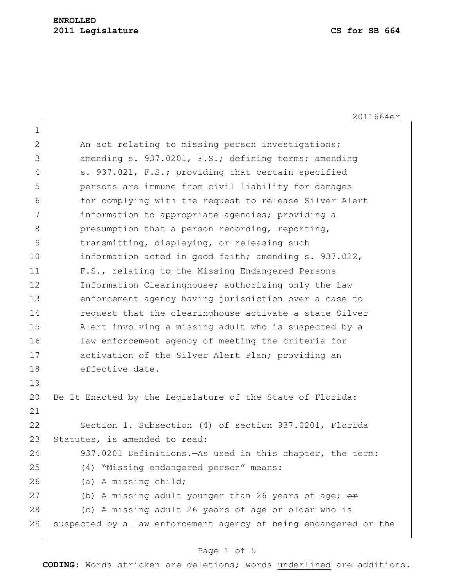2011664er

| 1  |                                                                  |
|----|------------------------------------------------------------------|
| 2  | An act relating to missing person investigations;                |
| 3  | amending s. 937.0201, F.S.; defining terms; amending             |
| 4  | s. 937.021, F.S.; providing that certain specified               |
| 5  | persons are immune from civil liability for damages              |
| 6  | for complying with the request to release Silver Alert           |
| 7  | information to appropriate agencies; providing a                 |
| 8  | presumption that a person recording, reporting,                  |
| 9  | transmitting, displaying, or releasing such                      |
| 10 | information acted in good faith; amending s. 937.022,            |
| 11 | F.S., relating to the Missing Endangered Persons                 |
| 12 | Information Clearinghouse; authorizing only the law              |
| 13 | enforcement agency having jurisdiction over a case to            |
| 14 | request that the clearinghouse activate a state Silver           |
| 15 | Alert involving a missing adult who is suspected by a            |
| 16 | law enforcement agency of meeting the criteria for               |
| 17 | activation of the Silver Alert Plan; providing an                |
| 18 | effective date.                                                  |
| 19 |                                                                  |
| 20 | Be It Enacted by the Legislature of the State of Florida:        |
| 21 |                                                                  |
| 22 | Section 1. Subsection (4) of section 937.0201, Florida           |
| 23 | Statutes, is amended to read:                                    |
| 24 | 937.0201 Definitions. - As used in this chapter, the term:       |
| 25 | (4) "Missing endangered person" means:                           |
| 26 | (a) A missing child;                                             |
| 27 | (b) A missing adult younger than 26 years of age; $\theta$       |
| 28 | (c) A missing adult 26 years of age or older who is              |
| 29 | suspected by a law enforcement agency of being endangered or the |

# Page 1 of 5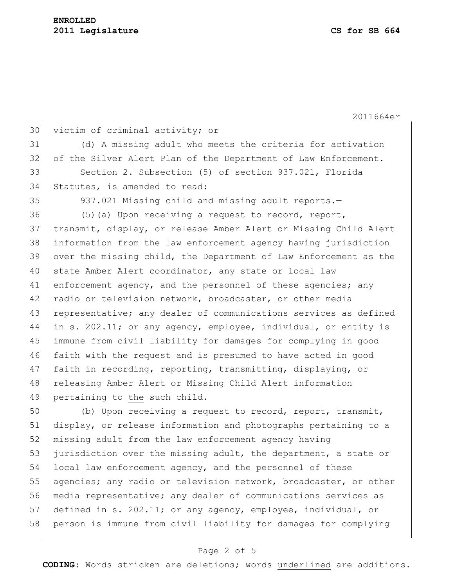2011664er

30 victim of criminal activity; or 31 (d) A missing adult who meets the criteria for activation 32 of the Silver Alert Plan of the Department of Law Enforcement. 33 Section 2. Subsection (5) of section 937.021, Florida 34 Statutes, is amended to read: 35 937.021 Missing child and missing adult reports.-36 (5)(a) Upon receiving a request to record, report, 37 transmit, display, or release Amber Alert or Missing Child Alert 38 information from the law enforcement agency having jurisdiction 39 over the missing child, the Department of Law Enforcement as the 40 state Amber Alert coordinator, any state or local law 41 enforcement agency, and the personnel of these agencies; any 42 radio or television network, broadcaster, or other media 43 representative; any dealer of communications services as defined 44 in s. 202.11; or any agency, employee, individual, or entity is 45 immune from civil liability for damages for complying in good

46 faith with the request and is presumed to have acted in good 47 faith in recording, reporting, transmitting, displaying, or 48 releasing Amber Alert or Missing Child Alert information 49 pertaining to the such child.

50 (b) Upon receiving a request to record, report, transmit, 51 display, or release information and photographs pertaining to a 52 missing adult from the law enforcement agency having 53 jurisdiction over the missing adult, the department, a state or 54 local law enforcement agency, and the personnel of these 55 agencies; any radio or television network, broadcaster, or other 56 media representative; any dealer of communications services as 57 defined in s. 202.11; or any agency, employee, individual, or 58 person is immune from civil liability for damages for complying

#### Page 2 of 5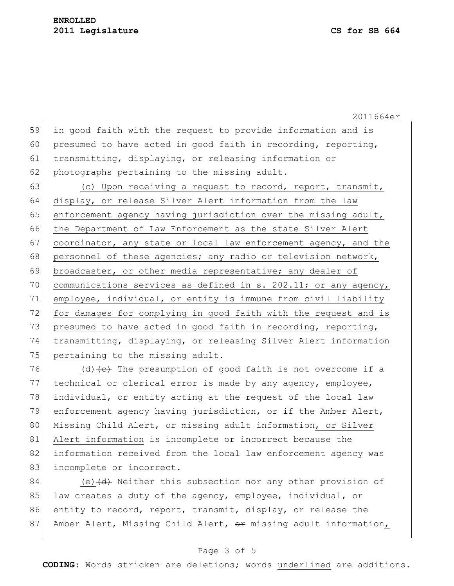2011664er 59 in good faith with the request to provide information and is 60 presumed to have acted in good faith in recording, reporting, 61 transmitting, displaying, or releasing information or 62 photographs pertaining to the missing adult.

63 (c) Upon receiving a request to record, report, transmit, 64 display, or release Silver Alert information from the law 65 enforcement agency having jurisdiction over the missing adult, 66 the Department of Law Enforcement as the state Silver Alert 67 coordinator, any state or local law enforcement agency, and the 68 personnel of these agencies; any radio or television network, 69 broadcaster, or other media representative; any dealer of 70 communications services as defined in s. 202.11; or any agency, 71 employee, individual, or entity is immune from civil liability 72 for damages for complying in good faith with the request and is 73 presumed to have acted in good faith in recording, reporting, 74 transmitting, displaying, or releasing Silver Alert information 75 pertaining to the missing adult.

76 (d)  $\left($  The presumption of good faith is not overcome if a 77 technical or clerical error is made by any agency, employee, 78 individual, or entity acting at the request of the local law 79 enforcement agency having jurisdiction, or if the Amber Alert, 80 Missing Child Alert,  $\Theta$  missing adult information, or Silver 81 Alert information is incomplete or incorrect because the 82 information received from the local law enforcement agency was 83 incomplete or incorrect.

84 (e)  $\left(\frac{d}{dt}\right)$  Neither this subsection nor any other provision of 85 law creates a duty of the agency, employee, individual, or 86 entity to record, report, transmit, display, or release the 87 Amber Alert, Missing Child Alert, or missing adult information,

### Page 3 of 5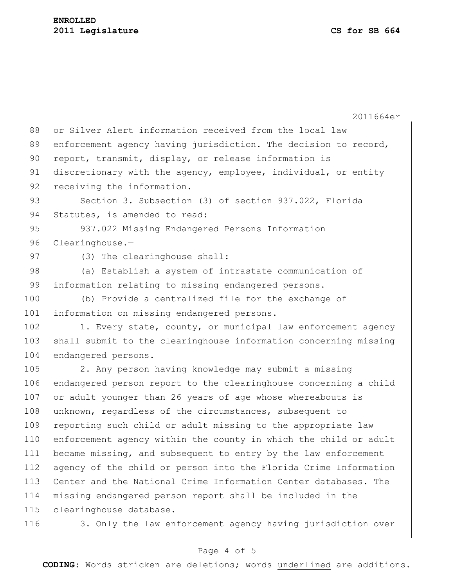### **ENROLLED 2011 Legislature CS for SB 664**

 $\overline{\phantom{a}}$ 

|     | 2011664er                                                        |
|-----|------------------------------------------------------------------|
| 88  | or Silver Alert information received from the local law          |
| 89  | enforcement agency having jurisdiction. The decision to record,  |
| 90  | report, transmit, display, or release information is             |
| 91  | discretionary with the agency, employee, individual, or entity   |
| 92  | receiving the information.                                       |
| 93  | Section 3. Subsection (3) of section 937.022, Florida            |
| 94  | Statutes, is amended to read:                                    |
| 95  | 937.022 Missing Endangered Persons Information                   |
| 96  | Clearinghouse.                                                   |
| 97  | (3) The clearinghouse shall:                                     |
| 98  | (a) Establish a system of intrastate communication of            |
| 99  | information relating to missing endangered persons.              |
| 100 | (b) Provide a centralized file for the exchange of               |
| 101 | information on missing endangered persons.                       |
| 102 | 1. Every state, county, or municipal law enforcement agency      |
| 103 | shall submit to the clearinghouse information concerning missing |
| 104 | endangered persons.                                              |
| 105 | 2. Any person having knowledge may submit a missing              |
| 106 | endangered person report to the clearinghouse concerning a child |
| 107 | or adult younger than 26 years of age whose whereabouts is       |
| 108 | unknown, regardless of the circumstances, subsequent to          |
| 109 | reporting such child or adult missing to the appropriate law     |
| 110 | enforcement agency within the county in which the child or adult |
| 111 | became missing, and subsequent to entry by the law enforcement   |
| 112 | agency of the child or person into the Florida Crime Information |
| 113 | Center and the National Crime Information Center databases. The  |
| 114 | missing endangered person report shall be included in the        |
| 115 | clearinghouse database.                                          |
| 116 | 3. Only the law enforcement agency having jurisdiction over      |

# Page 4 of 5